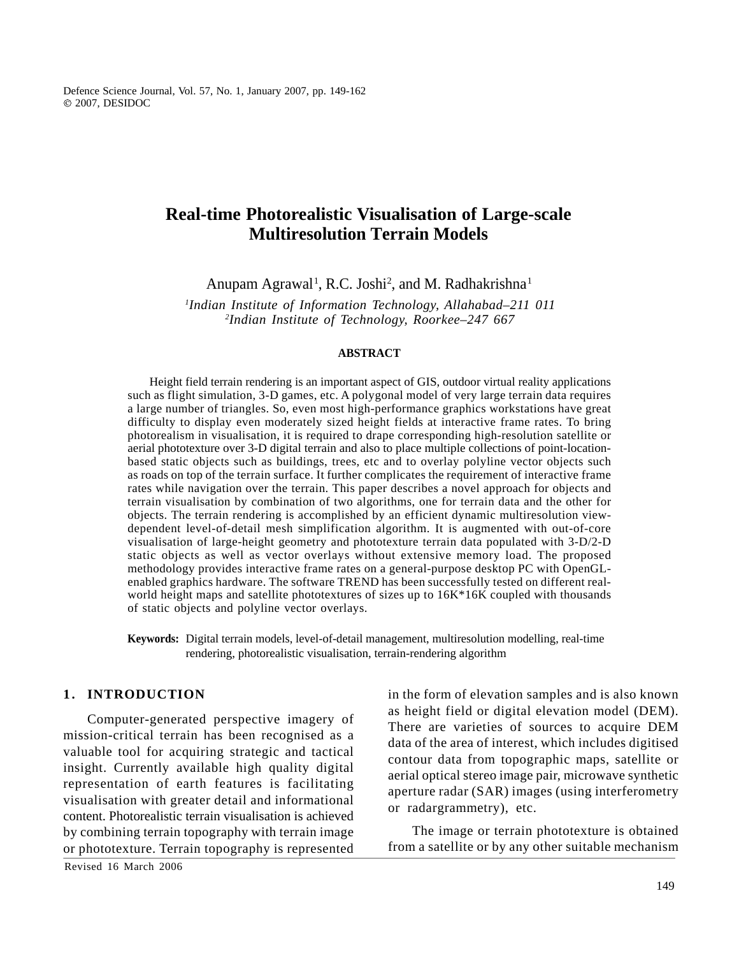Defence Science Journal, Vol. 57, No. 1, January 2007, pp. 149-162 2007, DESIDOC

## **Real-time Photorealistic Visualisation of Large-scale Multiresolution Terrain Models**

Anupam Agrawal<sup>1</sup>, R.C. Joshi<sup>2</sup>, and M. Radhakrishna<sup>1</sup> , and M. Radhakrishna $^1$ 

*1 Indian Institute of Information Technology, Allahabad–211 011 2 Indian Institute of Technology, Roorkee–247 667*

### **ABSTRACT**

Height field terrain rendering is an important aspect of GIS, outdoor virtual reality applications such as flight simulation, 3-D games, etc. A polygonal model of very large terrain data requires a large number of triangles. So, even most high-performance graphics workstations have great difficulty to display even moderately sized height fields at interactive frame rates. To bring photorealism in visualisation, it is required to drape corresponding high-resolution satellite or aerial phototexture over 3-D digital terrain and also to place multiple collections of point-locationbased static objects such as buildings, trees, etc and to overlay polyline vector objects such as roads on top of the terrain surface. It further complicates the requirement of interactive frame rates while navigation over the terrain. This paper describes a novel approach for objects and terrain visualisation by combination of two algorithms, one for terrain data and the other for objects. The terrain rendering is accomplished by an efficient dynamic multiresolution viewdependent level-of-detail mesh simplification algorithm. It is augmented with out-of-core visualisation of large-height geometry and phototexture terrain data populated with 3-D/2-D static objects as well as vector overlays without extensive memory load. The proposed methodology provides interactive frame rates on a general-purpose desktop PC with OpenGLenabled graphics hardware. The software TREND has been successfully tested on different realworld height maps and satellite phototextures of sizes up to  $16K*16K$  coupled with thousands of static objects and polyline vector overlays. **1** being beams the set of the 1-heat point of the set of the set of the set of the set of the set of the set of the set of the set of the set of the set of the set of the set of the set of the set of the set of the set o

**Keywords:** Digital terrain models, level-of-detail management, multiresolution modelling, real-time rendering, photorealistic visualisation, terrain-rendering algorithm

Computer-generated perspective imagery of mission-critical terrain has been recognised as a valuable tool for acquiring strategic and tactical insight. Currently available high quality digital representation of earth features is facilitating visualisation with greater detail and informational content. Photorealistic terrain visualisation is achieved by combining terrain topography with terrain image or phototexture. Terrain topography is represented

Revised 16 March 2006

in the form of elevation samples and is also known as height field or digital elevation model (DEM). There are varieties of sources to acquire DEM data of the area of interest, which includes digitised contour data from topographic maps, satellite or aerial optical stereo image pair, microwave synthetic aperture radar (SAR) images (using interferometry or radargrammetry), etc.

The image or terrain phototexture is obtained from a satellite or by any other suitable mechanism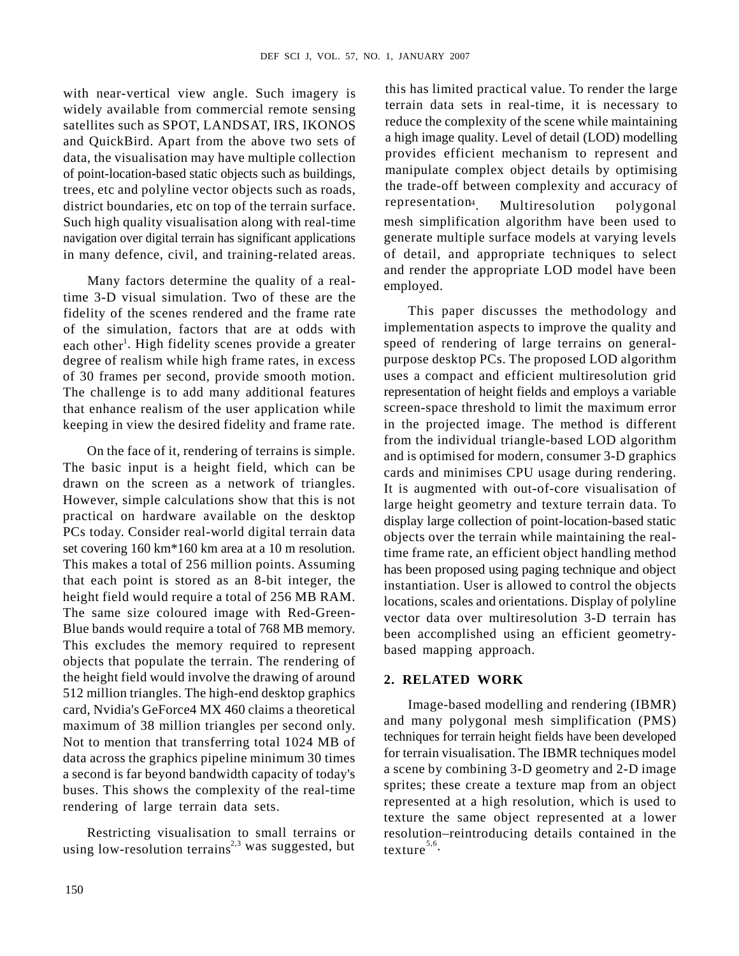with near-vertical view angle. Such imagery is widely available from commercial remote sensing satellites such as SPOT, LANDSAT, IRS, IKONOS and QuickBird. Apart from the above two sets of data, the visualisation may have multiple collection of point-location-based static objects such as buildings, trees, etc and polyline vector objects such as roads,<br>district boundaries, etc on top of the terrain surface representation district boundaries, etc on top of the terrain surface. <sup>representation4</sup>. Multiresolution polygonal navigation over digital terrain has significant applications in many defence, civil, and training-related areas.

Many factors determine the quality of a realwhen y factors determine the quality of a real-<br>time 3-D visual simulation. Two of these are the fidelity of the scenes rendered and the frame rate of the simulation, factors that are at odds with each other<sup>1</sup>. High fidelity scenes provide a greater degree of realism while high frame rates, in excess of 30 frames per second, provide smooth motion. that enhance realism of the user application while

On the face of it, rendering of terrains is simple. The basic input is a height field, which can be drawn on the screen as a network of triangles. However, simple calculations show that this is not practical on hardware available on the desktop PCs today. Consider real-world digital terrain data set covering 160 km\*160 km area at a 10 m resolution. This makes a total of 256 million points. Assuming that each point is stored as an 8-bit integer, the height field would require a total of 256 MB RAM. The same size coloured image with Red-Green-Blue bands would require a total of 768 MB memory. This excludes the memory required to represent objects that populate the terrain. The rendering of the height field would involve the drawing of around 2. RELATED WORK 512 million triangles. The high-end desktop graphics card, Nvidia's GeForce4 MX 460 claims a theoretical maximum of 38 million triangles per second only. Not to mention that transferring total 1024 MB of data across the graphics pipeline minimum 30 times a second is far beyond bandwidth capacity of today's buses. This shows the complexity of the real-time rendering of large terrain data sets.

using low-resolution terrains<sup>2,3</sup> was suggested, but

Such high quality visualisation along with real-time mesh simplification algorithm have been used to this has limited practical value. To render the large terrain data sets in real-time, it is necessary to reduce the complexity of the scene while maintaining a high image quality. Level of detail (LOD) modelling provides efficient mechanism to represent and manipulate complex object details by optimising the trade-off between complexity and accuracy of representation<sup>4</sup> Multiresolution polygonal . Multiresolution polygonal generate multiple surface models at varying levels of detail, and appropriate techniques to select and render the appropriate LOD model have been employed.

. High fidelity scenes provide a greater speed of rendering of large terrains on general-The challenge is to add many additional features representation of height fields and employs a variable keeping in view the desired fidelity and frame rate. in the projected image. The method is different This paper discusses the methodology and implementation aspects to improve the quality and purpose desktop PCs. The proposed LOD algorithm uses a compact and efficient multiresolution grid screen-space threshold to limit the maximum error from the individual triangle-based LOD algorithm and is optimised for modern, consumer 3-D graphics cards and minimises CPU usage during rendering. It is augmented with out-of-core visualisation of large height geometry and texture terrain data. To display large collection of point-location-based static objects over the terrain while maintaining the realtime frame rate, an efficient object handling method has been proposed using paging technique and object instantiation. User is allowed to control the objects locations, scales and orientations. Display of polyline vector data over multiresolution 3-D terrain has been accomplished using an efficient geometrybased mapping approach.

### **2. RELATED WORK**

Restricting visualisation to small terrains or resolution–reintroducing details contained in the Image-based modelling and rendering (IBMR) and many polygonal mesh simplification (PMS) techniques for terrain height fields have been developed for terrain visualisation. The IBMR techniques model a scene by combining 3-D geometry and 2-D image sprites; these create a texture map from an object represented at a high resolution, which is used to texture the same object represented at a lower texture<sup>5,6</sup> texture<sup>5,6</sup>.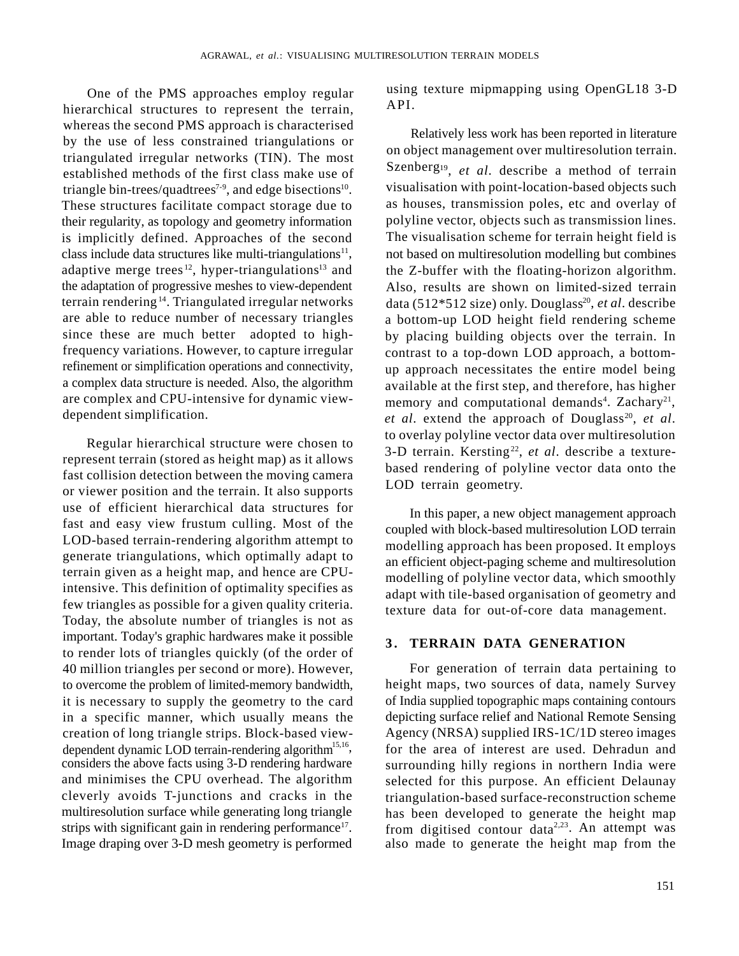One of the PMS approaches employ regular using<br>exchical structures to represent the termin API. hierarchical structures to represent the terrain, whereas the second PMS approach is characterised by the use of less constrained triangulations or triangulated irregular networks (TIN). The most established methods of the first class make use of triangle bin-trees/quadtrees<sup> $7-9$ </sup>, and edge bisections<sup>10</sup>. These structures facilitate compact storage due to their regularity, as topology and geometry information is implicitly defined. Approaches of the second class include data structures like multi-triangulations<sup>11</sup>, not based on multiresolution modelling but combines adaptive merge trees<sup>12</sup>, hyper-triangulations<sup>13</sup> and the adaptation of progressive meshes to view-dependent Also, results are shown on limited-sized terrain terrain rendering <sup>14</sup>. Triangulated irregular networks data (512\*512 size) only. Douglass<sup>20</sup>, et al. describe are able to reduce number of necessary triangles a bottom-up LOD height field rendering scheme since these are much better adopted to highfrequency variations. However, to capture irregular refinement or simplification operations and connectivity, a complex data structure is needed. Also, the algorithm are complex and CPU-intensive for dynamic view-

Regular hierarchical structure were chosen to represent terrain (stored as height map) as it allows fast collision detection between the moving camera or viewer position and the terrain. It also supports use of efficient hierarchical data structures for fast and easy view frustum culling. Most of the LOD-based terrain-rendering algorithm attempt to generate triangulations, which optimally adapt to terrain given as a height map, and hence are CPUintensive. This definition of optimality specifies as few triangles as possible for a given quality criteria. Today, the absolute number of triangles is not as important. Today's graphic hardwares make it possible 3. TERRAIN DATA GENERATION to render lots of triangles quickly (of the order of 40 million triangles per second or more). However, to overcome the problem of limited-memory bandwidth, it is necessary to supply the geometry to the card in a specific manner, which usually means the creation of long triangle strips. Block-based viewdependent dynamic LOD terrain-rendering algorithm<sup>15,16</sup>, considers the above facts using 3-D rendering hardware and minimises the CPU overhead. The algorithm selected for this purpose. An efficient Delaunay cleverly avoids T-junctions and cracks in the triangulation-based surface-reconstruction scheme multiresolution surface while generating long triangle has been developed to generate the height map strips with significant gain in rendering performance<sup>17</sup>. from digitised contour data<sup>2,23</sup>. An attempt was

using texture mipmapping using OpenGL18 3-D API.

. visualisation with point-location-based objects such dependent simplification.  $et \ al.$  extend the approach of Douglass<sup>20</sup>, et al. Relatively less work has been reported in literature on object management over multiresolution terrain. Szenberg<sup>19</sup>, *et al.* describe a method of terrain as houses, transmission poles, etc and overlay of polyline vector, objects such as transmission lines. The visualisation scheme for terrain height field is the Z-buffer with the floating-horizon algorithm. , *et al*. describe by placing building objects over the terrain. In contrast to a top-down LOD approach, a bottomup approach necessitates the entire model being available at the first step, and therefore, has higher memory and computational demands<sup>4</sup>. Zachary<sup>21</sup>, . Zachary<sup>21</sup>, , , *et al*. to overlay polyline vector data over multiresolution 3-D terrain. Kersting<sup>22</sup>, *et al*. describe a texturebased rendering of polyline vector data onto the LOD terrain geometry. **EXERCUTION TERRAIN MODELS**<br>
using texture mipmapping using OpenGL18 3-D<br>
API.<br> **ANDREX**<br> **SECUTE:** The state of the state of the state of the state<br>
on object management over multiresolution termin.<br>
Szenberg<sup>19</sup>, *et al.* 

In this paper, a new object management approach coupled with block-based multiresolution LOD terrain modelling approach has been proposed. It employs an efficient object-paging scheme and multiresolution modelling of polyline vector data, which smoothly adapt with tile-based organisation of geometry and texture data for out-of-core data management.

, for the area of interest are used. Dehradun and Image draping over 3-D mesh geometry is performed also made to generate the height map from theFor generation of terrain data pertaining to height maps, two sources of data, namely Survey of India supplied topographic maps containing contours depicting surface relief and National Remote Sensing Agency (NRSA) supplied IRS-1C/1D stereo images surrounding hilly regions in northern India were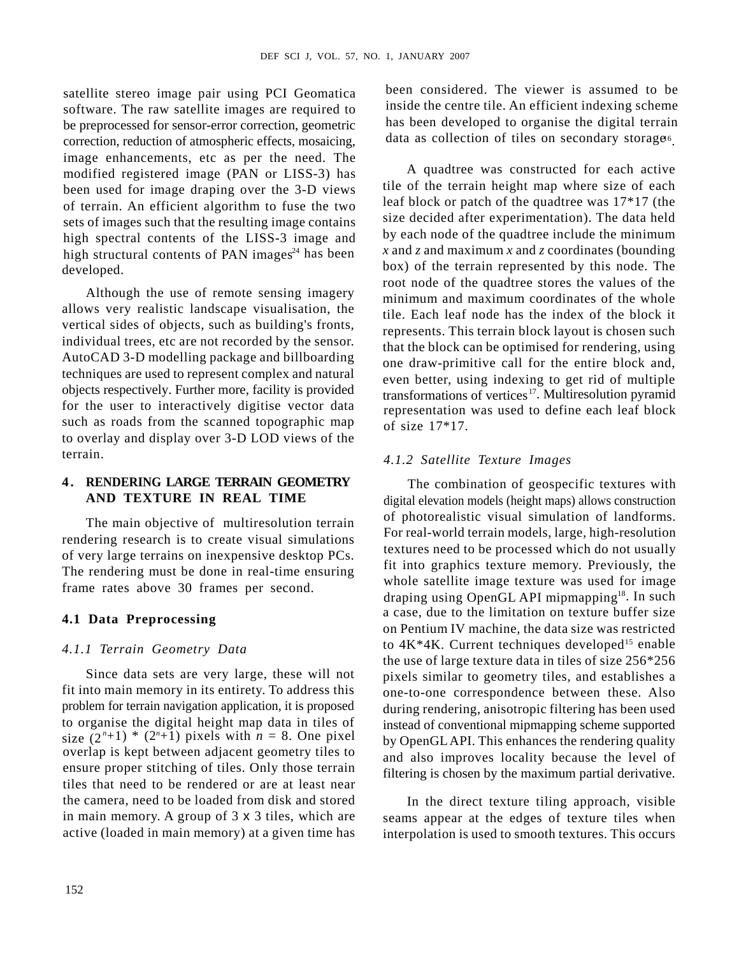satellite stereo image pair using PCI Geomatica software. The raw satellite images are required to be preprocessed for sensor-error correction, geometric correction, reduction of atmospheric effects, mosaicing, image enhancements, etc as per the need. The modified registered image (PAN or LISS-3) has been used for image draping over the 3-D views of terrain. An efficient algorithm to fuse the two sets of images such that the resulting image contains high spectral contents of the LISS-3 image and high structural contents of PAN images $^{24}$  has been developed. box) of the terrain represented by this node. The

Although the use of remote sensing imagery allows very realistic landscape visualisation, the vertical sides of objects, such as building's fronts, individual trees, etc are not recorded by the sensor. AutoCAD 3-D modelling package and billboarding techniques are used to represent complex and natural objects respectively. Further more, facility is provided for the user to interactively digitise vector data such as roads from the scanned topographic map  $\sigma_1$  size 17\*17. to overlay and display over 3-D LOD views of the terrain. *4.1.2 Satellite Texture Images*

The main objective of multiresolution terrain rendering research is to create visual simulations of very large terrains on inexpensive desktop PCs. The rendering must be done in real-time ensuring frame rates above 30 frames per second.

### **4.1 Data Preprocessing**

### *4.1.1 Terrain Geometry Data*

fit into main memory in its entirety. To address this problem for terrain navigation application, it is proposed size  $(2<sup>n</sup>+1) * (2<sup>n</sup>+1)$  pixels with  $n = 8$ . One pixel overlap is kept between adjacent geometry tiles to ensure proper stitching of tiles. Only those terrain tiles that need to be rendered or are at least near in main memory. A group of 3 x 3 tiles, which are

been considered. The viewer is assumed to be inside the centre tile. An efficient indexing scheme has been developed to organise the digital terrain data as collection of tiles on secondary storage6 .

A quadtree was constructed for each active tile of the terrain height map where size of each leaf block or patch of the quadtree was 17\*17 (the size decided after experimentation). The data held by each node of the quadtree include the minimum *x* and *z* and maximum *x* and *z* coordinates (bounding root node of the quadtree stores the values of the minimum and maximum coordinates of the whole tile. Each leaf node has the index of the block it represents. This terrain block layout is chosen such that the block can be optimised for rendering, using one draw-primitive call for the entire block and, even better, using indexing to get rid of multiple transformations of vertices<sup>17</sup>. Multiresolution pyramid representation was used to define each leaf block of size 17\*17.

**EXALUSE CONFIDENTIES**<br> **EXALUSE CONFIDENTIES**<br> **A . <b>RENDERING LARGE TERRAIN GEOMETRY**<br> **EXALUSE CONFIDENTIES**<br> **EXALUSE CONFIDENTIES**<br> **EXALUSE CONFIDENTIES**<br> **EXALUSE CONFIDENTIES**<br> **EXALUSE CONFIDENTIES**<br> **EXALUSE CON AND TEXTURE IN REAL TIME** digital elevation models (height maps) allows construction Since data sets are very large, these will not pixels similar to geometry tiles, and establishes a to organise the digital height map data in tiles of instead of conventional mipmapping scheme supported The combination of geospecific textures with of photorealistic visual simulation of landforms. For real-world terrain models, large, high-resolution textures need to be processed which do not usually fit into graphics texture memory. Previously, the whole satellite image texture was used for image draping using OpenGL API mipmapping<sup>18</sup>. In such a case, due to the limitation on texture buffer size on Pentium IV machine, the data size was restricted to  $4K^*4K$ . Current techniques developed<sup>15</sup> enable the use of large texture data in tiles of size 256\*256 one-to-one correspondence between these. Also during rendering, anisotropic filtering has been used by OpenGL API. This enhances the rendering quality and also improves locality because the level of filtering is chosen by the maximum partial derivative.

the camera, need to be loaded from disk and stored In the direct texture tiling approach, visible active (loaded in main memory) at a given time has interpolation is used to smooth textures. This occursseams appear at the edges of texture tiles when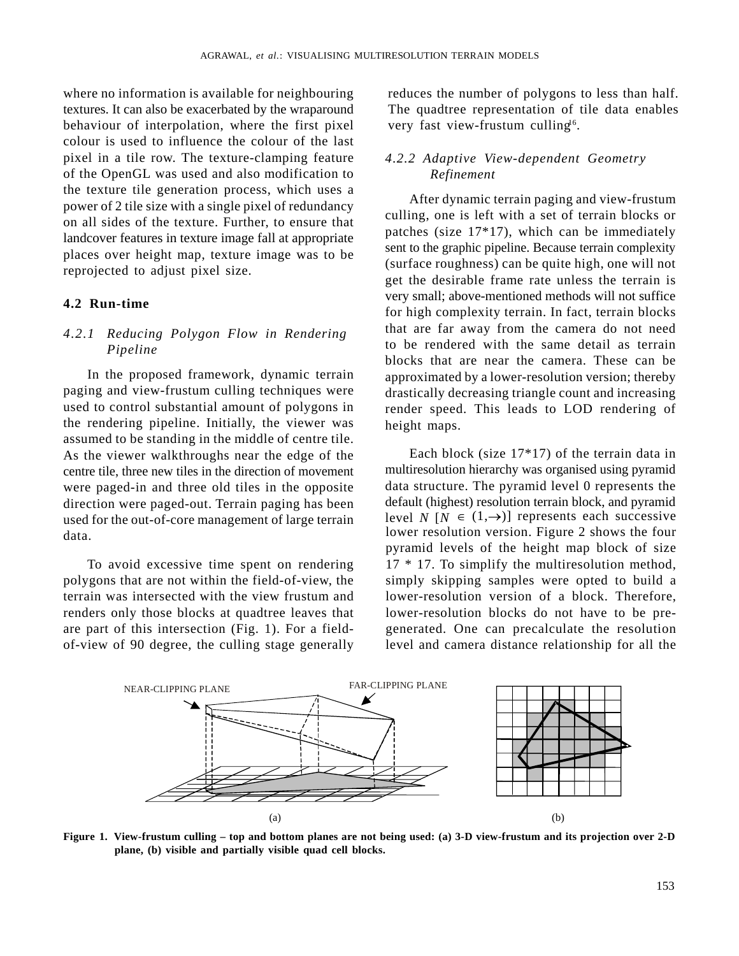where no information is available for neighbouring reduces the number of polygons to less than half. textures. It can also be exacerbated by the wraparound The quadtree representation of tile data enables behaviour of interpolation, where the first pixel colour is used to influence the colour of the last pixel in a tile row. The texture-clamping feature of the OpenGL was used and also modification to the texture tile generation process, which uses a power of 2 tile size with a single pixel of redundancy on all sides of the texture. Further, to ensure that landcover features in texture image fall at appropriate places over height map, texture image was to be reprojected to adjust pixel size.

the rendering pipeline. Initially, the viewer was assumed to be standing in the middle of centre tile. As the viewer walkthroughs near the edge of the centre tile, three new tiles in the direction of movement were paged-in and three old tiles in the opposite direction were paged-out. Terrain paging has been used for the out-of-core management of large terrain

are part of this intersection (Fig. 1). For a field-

very fast view-frustum culling<sup>16</sup>. .

### *4.2.2 Adaptive View-dependent Geometry Refinement*

**4.2 Run-time**<br>
for high complexity terrain. In fact, terrain blocks *Pipeline* and the same detail as terrain problems to be rendered with the same detail as terrain In the proposed framework, dynamic terrain approximated by a lower-resolution version; thereby paging and view-frustum culling techniques were drastically decreasing triangle count and increasing used to control substantial amount of polygons in render speed. This leads to LOD rendering of After dynamic terrain paging and view-frustum culling, one is left with a set of terrain blocks or patches (size 17\*17), which can be immediately sent to the graphic pipeline. Because terrain complexity (surface roughness) can be quite high, one will not get the desirable frame rate unless the terrain is very small; above-mentioned methods will not suffice that are far away from the camera do not need to be rendered with the same detail as terrain blocks that are near the camera. These can be height maps.

data. **Example 2** of the solution version. Figure 2 shows the four data. To avoid excessive time spent on rendering 17 \* 17. To simplify the multiresolution method, polygons that are not within the field-of-view, the simply skipping samples were opted to build a terrain was intersected with the view frustum and lower-resolution version of a block. Therefore, renders only those blocks at quadtree leaves that lower-resolution blocks do not have to be preof-view of 90 degree, the culling stage generally level and camera distance relationship for all the Each block (size 17\*17) of the terrain data in multiresolution hierarchy was organised using pyramid data structure. The pyramid level 0 represents the default (highest) resolution terrain block, and pyramid level *N* [ $N \in (1, \rightarrow)$ ] represents each successive pyramid levels of the height map block of size generated. One can precalculate the resolution



**plane, (b) visible and partially visible quad cell blocks.**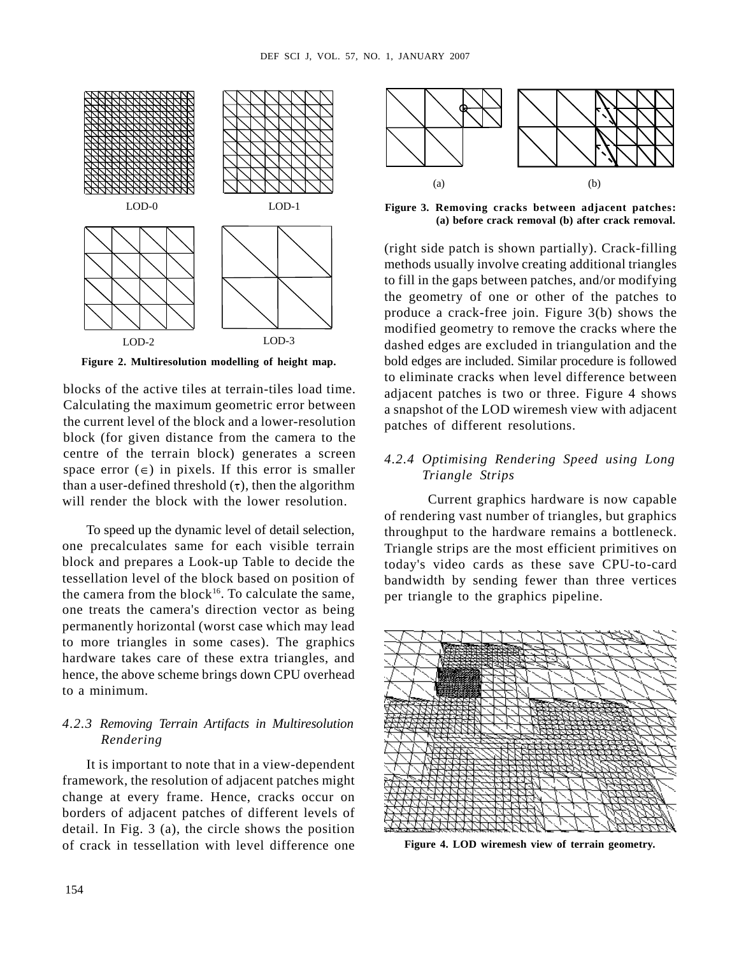

**Figure 2. Multiresolution modelling of height map.**

blocks of the active tiles at terrain-tiles load time. Calculating the maximum geometric error between the current level of the block and a lower-resolution block (for given distance from the camera to the centre of the terrain block) generates a screen space error  $(\epsilon)$  in pixels. If this error is smaller Triangle Strips than a user-defined threshold  $(\tau)$ , then the algorithm will render the block with the lower resolution.

one precalculates same for each visible terrain Triangle strips are the most efficient primitives on block and prepares a Look-up Table to decide the today's video cards as these save CPU-to-card tessellation level of the block based on position of the camera from the block<sup>16</sup>. To calculate the same, one treats the camera's direction vector as being permanently horizontal (worst case which may lead to more triangles in some cases). The graphics hardware takes care of these extra triangles, and hence, the above scheme brings down CPU overhead

## *4.2.3 Removing Terrain Artifacts in Multiresolution*

It is important to note that in a view-dependent framework, the resolution of adjacent patches might change at every frame. Hence, cracks occur on borders of adjacent patches of different levels of detail. In Fig. 3 (a), the circle shows the position of crack in tessellation with level difference one **Figure 4. LOD wiremesh view of terrain geometry.**



**(a) before crack removal (b) after crack removal.**

(right side patch is shown partially). Crack-filling methods usually involve creating additional triangles to fill in the gaps between patches, and/or modifying the geometry of one or other of the patches to produce a crack-free join. Figure 3(b) shows the modified geometry to remove the cracks where the dashed edges are excluded in triangulation and the LOD-2 LOD-3bold edges are included. Similar procedure is followed to eliminate cracks when level difference between adjacent patches is two or three. Figure 4 shows a snapshot of the LOD wiremesh view with adjacent patches of different resolutions. **Figure 3. Removing cracks between adjacent patches:**<br> **Figure 3. Removing cracks between adjacent patches:**<br> **Figure 3. Removing cracks removed (b) after crack removed that cracker and the context parameter and the patche** 

### *4.2.4 Optimising Rendering Speed using Long Triangle Strips*

To speed up the dynamic level of detail selection, throughput to the hardware remains a bottleneck. Current graphics hardware is now capable of rendering vast number of triangles, but graphics bandwidth by sending fewer than three vertices per triangle to the graphics pipeline.

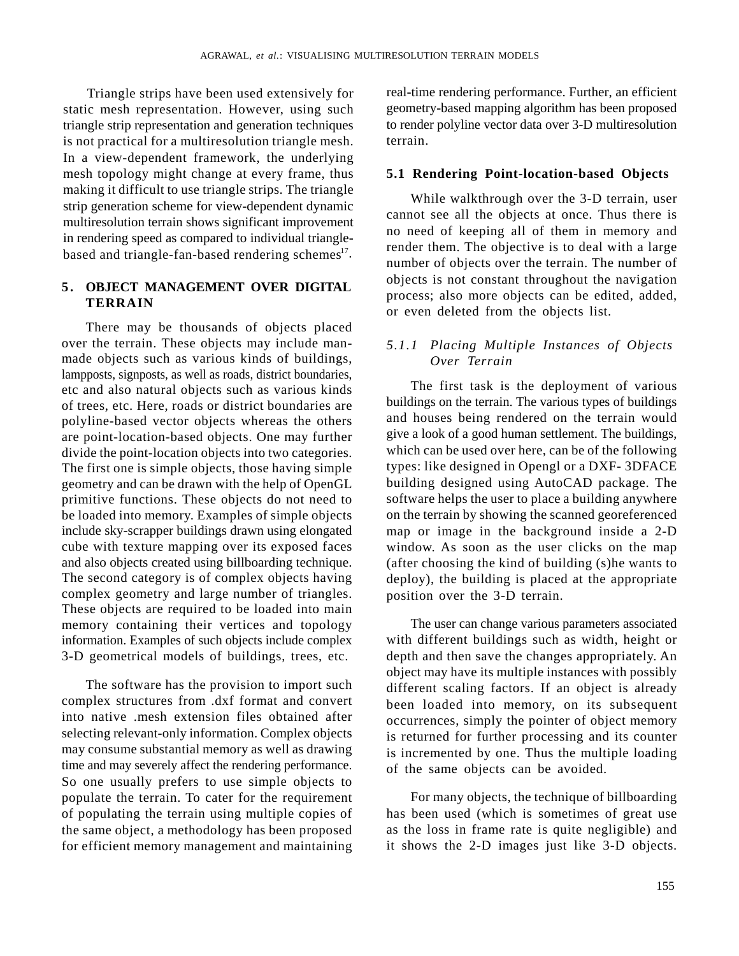static mesh representation. However, using such triangle strip representation and generation techniques is not practical for a multiresolution triangle mesh. In a view-dependent framework, the underlying mesh topology might change at every frame, thus **5.1 Rendering Point-location-based Objects** making it difficult to use triangle strips. The triangle strip generation scheme for view-dependent dynamic multiresolution terrain shows significant improvement in rendering speed as compared to individual trianglebased and triangle-fan-based rendering schemes $17$ .

**Thingle strips have been determined by the system of the system of the system of the system of the control of the system of the system of the system of the system of the system of the system of the system of the system o** There may be thousands of objects placed over the terrain. These objects may include manmade objects such as various kinds of buildings,  $Q_{\text{V}er}$   $\overline{T}errain$ lampposts, signposts, as well as roads, district boundaries, etc and also natural objects such as various kinds of trees, etc. Here, roads or district boundaries are polyline-based vector objects whereas the others are point-location-based objects. One may further divide the point-location objects into two categories. The first one is simple objects, those having simple geometry and can be drawn with the help of OpenGL primitive functions. These objects do not need to be loaded into memory. Examples of simple objects complex geometry and large number of triangles. These objects are required to be loaded into main memory containing their vertices and topology information. Examples of such objects include complex 3-D geometrical models of buildings, trees, etc.

selecting relevant-only information. Complex objects may consume substantial memory as well as drawing time and may severely affect the rendering performance. So one usually prefers to use simple objects to populate the terrain. To cater for the requirement of populating the terrain using multiple copies of the same object, a methodology has been proposed

Triangle strips have been used extensively for real-time rendering performance. Further, an efficient geometry-based mapping algorithm has been proposed to render polyline vector data over 3-D multiresolution terrain.

**TERRAIN** process, also more objects can be current, added, the contract of the process of the contract of the process of the contract of the contract of the contract of the contract of the contract of the contract of the While walkthrough over the 3-D terrain, user cannot see all the objects at once. Thus there is no need of keeping all of them in memory and render them. The objective is to deal with a large number of objects over the terrain. The number of objects is not constant throughout the navigation process; also more objects can be edited, added, or even deleted from the objects list.

# *Over Terrain*

include sky-scrapper buildings drawn using elongated map or image in the background inside a 2-D cube with texture mapping over its exposed faces window. As soon as the user clicks on the map and also objects created using billboarding technique. (after choosing the kind of building (s)he wants to The second category is of complex objects having deploy), the building is placed at the appropriate **ESSOLUTION TEREARN MODELS**<br> **ETGI-dime rendering performance. Further, an efficient**<br> **Examplementry-based mapping algorithm has been proposed**<br> **Iorracin Examplement instances of Objects**<br> **S.1. Rendering Point-locatio** The first task is the deployment of various buildings on the terrain. The various types of buildings and houses being rendered on the terrain would give a look of a good human settlement. The buildings, which can be used over here, can be of the following types: like designed in Opengl or a DXF- 3DFACE building designed using AutoCAD package. The software helps the user to place a building anywhere on the terrain by showing the scanned georeferenced position over the 3-D terrain.

The software has the provision to import such different scaling factors. If an object is already complex structures from .dxf format and convert been loaded into memory, on its subsequent into native .mesh extension files obtained after occurrences, simply the pointer of object memory The user can change various parameters associated with different buildings such as width, height or depth and then save the changes appropriately. An object may have its multiple instances with possibly is returned for further processing and its counter is incremented by one. Thus the multiple loading of the same objects can be avoided.

for efficient memory management and maintaining it shows the 2-D images just like 3-D objects. For many objects, the technique of billboarding has been used (which is sometimes of great use as the loss in frame rate is quite negligible) and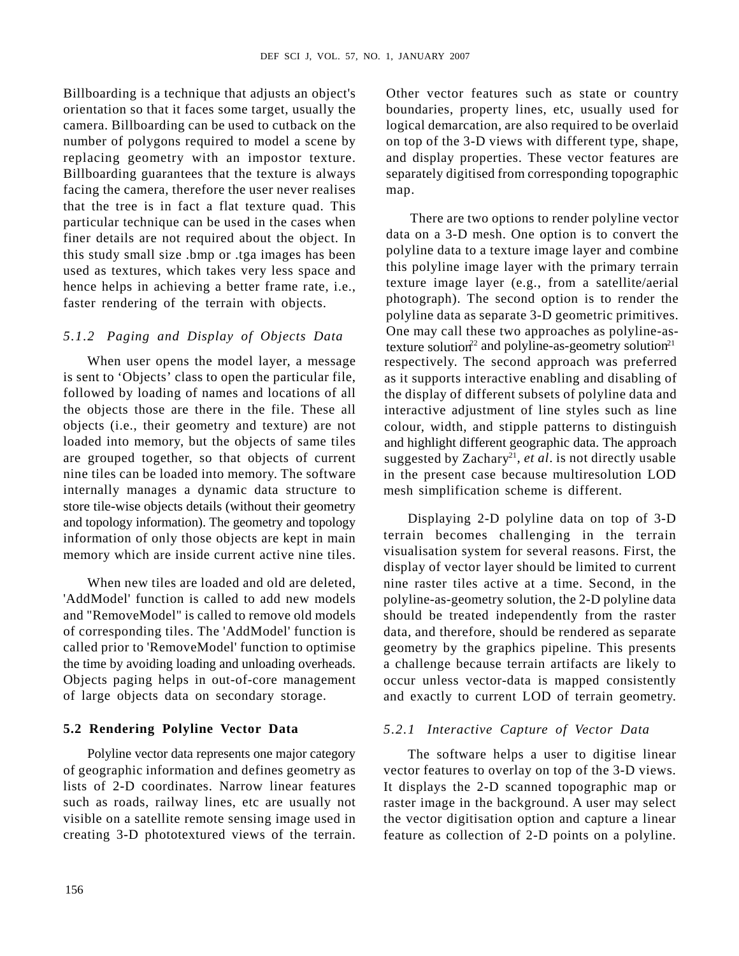Billboarding is a technique that adjusts an object's Other vector features such as state or country orientation so that it faces some target, usually the boundaries, property lines, etc, usually used for camera. Billboarding can be used to cutback on the logical demarcation, are also required to be overlaid number of polygons required to model a scene by replacing geometry with an impostor texture. Billboarding guarantees that the texture is always separately digitised from corresponding topographic facing the camera, therefore the user never realises map. that the tree is in fact a flat texture quad. This particular technique can be used in the cases when finer details are not required about the object. In this study small size .bmp or .tga images has been used as textures, which takes very less space and hence helps in achieving a better frame rate, i.e., faster rendering of the terrain with objects.

nine tiles can be loaded into memory. The software internally manages a dynamic data structure to store tile-wise objects details (without their geometry and topology information). The geometry and topology information of only those objects are kept in main memory which are inside current active nine tiles.

the time by avoiding loading and unloading overheads.

on top of the 3-D views with different type, shape, and display properties. These vector features are map.

1111basting is a net-voire, ware Lass are serving<br>triplays in all the state of order the state of order the state of order the state of order the state of order the state of order the state of order the state of order the When user opens the model layer, a message respectively. The second approach was preferred is sent to 'Objects' class to open the particular file, as it supports interactive enabling and disabling of followed by loading of names and locations of all the display of different subsets of polyline data and the objects those are there in the file. These all interactive adjustment of line styles such as line objects (i.e., their geometry and texture) are not colour, width, and stipple patterns to distinguish loaded into memory, but the objects of same tiles and highlight different geographic data. The approach are grouped together, so that objects of current suggested by Zachary<sup>21</sup>, *et al*. is not directly usable There are two options to render polyline vector data on a 3-D mesh. One option is to convert the polyline data to a texture image layer and combine this polyline image layer with the primary terrain texture image layer (e.g., from a satellite/aerial photograph). The second option is to render the polyline data as separate 3-D geometric primitives. One may call these two approaches as polyline-astexture solution<sup>22</sup> and polyline-as-geometry solution<sup>21</sup> in the present case because multiresolution LOD mesh simplification scheme is different. 1. JANUARY 2007<br>
Other vector features such as state or country<br>
boundaries, property lines actor usatly used to<br>
logical demorculon, are also required to be vorbaid<br>
on top of the 3-D views with different type shape.<br>
on

When new tiles are loaded and old are deleted, nine raster tiles active at a time. Second, in the 'AddModel' function is called to add new models polyline-as-geometry solution, the 2-D polyline data and "RemoveModel" is called to remove old models should be treated independently from the raster of corresponding tiles. The 'AddModel' function is data, and therefore, should be rendered as separate called prior to 'RemoveModel' function to optimise geometry by the graphics pipeline. This presents Objects paging helps in out-of-core management occur unless vector-data is mapped consistently of large objects data on secondary storage. and exactly to current LOD of terrain geometry. Displaying 2-D polyline data on top of 3-D terrain becomes challenging in the terrain visualisation system for several reasons. First, the display of vector layer should be limited to current a challenge because terrain artifacts are likely to

### **5.2 Rendering Polyline Vector Data**

Polyline vector data represents one major category The software helps a user to digitise linear of geographic information and defines geometry as vector features to overlay on top of the 3-D views. lists of 2-D coordinates. Narrow linear features It displays the 2-D scanned topographic map or such as roads, railway lines, etc are usually not raster image in the background. A user may select visible on a satellite remote sensing image used in the vector digitisation option and capture a linear creating 3-D phototextured views of the terrain. feature as collection of 2-D points on a polyline.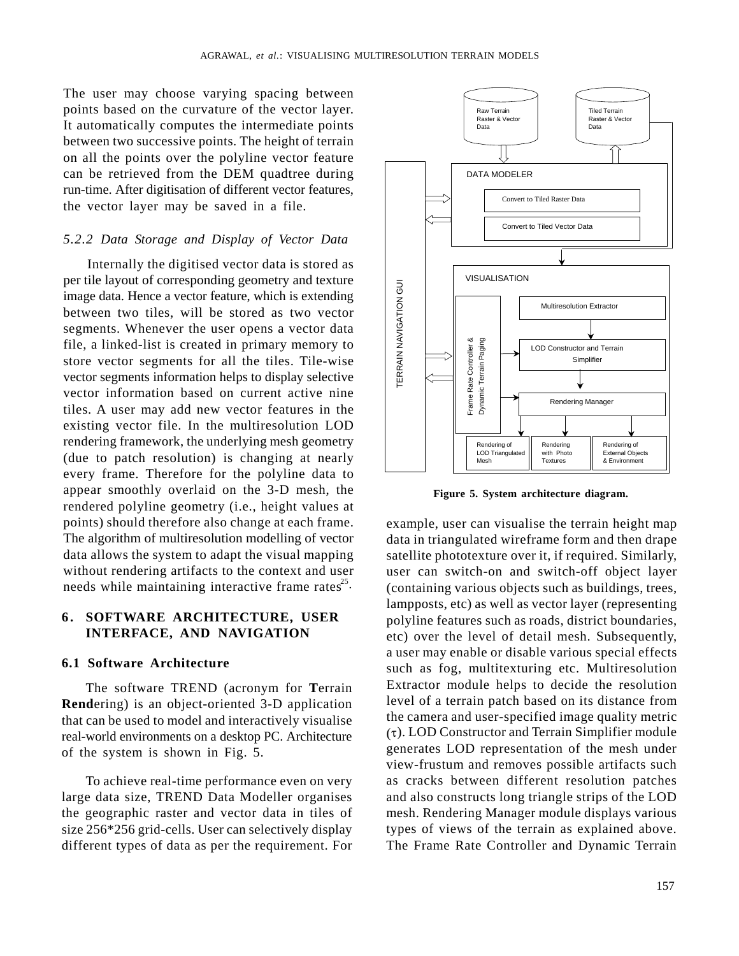The user may choose varying spacing between points based on the curvature of the vector layer.<br>
Raster & Vector Raster & Vector Raster & Vector It automatically computes the intermediate points between two successive points. The height of terrain on all the points over the polyline vector feature can be retrieved from the DEM quadtree during and the state of the parameters run-time. After digitisation of different vector features, the vector layer may be saved in a file.

### *5.2.2 Data Storage and Display of Vector Data*

Internally the digitised vector data is stored as per tile layout of corresponding geometry and texture<br>
image data. Hence a vector feature, which is extending<br>
between two tiles, will be stored as two vector<br>
segments. Whenever the user opens a vector data<br>
file, a link image data. Hence a vector feature, which is extending  $\begin{array}{c|c}\n\hline\n\vdots \\
\hline\n\end{array}$ between two tiles, will be stored as two vector segments. Whenever the user opens a vector data file, a linked-list is created in primary memory to<br>store vector segments for all the tiles. Tile-wise<br>vector segments information helps to display selective<br>vector information based on current active nine<br>tiles. A user m store vector segments for all the tiles. Tile-wise  $\left|\frac{1}{5}\right|$   $\left|\frac{1}{5}\right|$   $\left|\frac{1}{5}\right|$   $\left|\frac{1}{5}\right|$  simplifies vector segments information helps to display selective vector information based on current active nine  $\left\| \begin{array}{c} \tilde{\alpha} \\ \frac{1}{\beta} \end{array} \right\|$ tiles. A user may add new vector features in the existing vector file. In the multiresolution LOD rendering framework, the underlying mesh geometry<br>
(due to got a got a property the photo state and Objects) is obtained as at possible of the control of the control of the stemal Objects  $(\text{due to patch resolution})$  is changing at nearly  $\|\cdot\|$  LOD Triangulated with Photo  $\|\cdot\|$  External Objection (Nesh every frame. Therefore for the polyline data to appear smoothly overlaid on the 3-D mesh, the rendered polyline geometry (i.e., height values at points) should therefore also change at each frame. example, user can visualise the terrain height map The algorithm of multiresolution modelling of vector data in triangulated wireframe form and then drape data allows the system to adapt the visual mapping satellite phototexture over it, if required. Similarly, without rendering artifacts to the context and user needs while maintaining interactive frame rates<sup>25</sup> (containing various objects such as buildings, trees,

The software TREND (acronym for **T**errain **Rend**ering) is an object-oriented 3-D application that can be used to model and interactively visualise real-world environments on a desktop PC. Architecture



**Figure 5. System architecture diagram.**

**INTERFACE, AND NAVIGATION** etc) over the level of detail mesh. Subsequently, **6.1 Software Architecture** such as fog, multitexturing etc. Multiresolution of the system is shown in Fig. 5. generates LOD representation of the mesh under To achieve real-time performance even on very as cracks between different resolution patches large data size, TREND Data Modeller organises and also constructs long triangle strips of the LOD the geographic raster and vector data in tiles of mesh. Rendering Manager module displays various size 256\*256 grid-cells. User can selectively display types of views of the terrain as explained above. different types of data as per the requirement. For The Frame Rate Controller and Dynamic Terrain user can switch-on and switch-off object layer lampposts, etc) as well as vector layer (representing polyline features such as roads, district boundaries, a user may enable or disable various special effects Extractor module helps to decide the resolution level of a terrain patch based on its distance from the camera and user-specified image quality metric  $(\tau)$ . LOD Constructor and Terrain Simplifier module view-frustum and removes possible artifacts such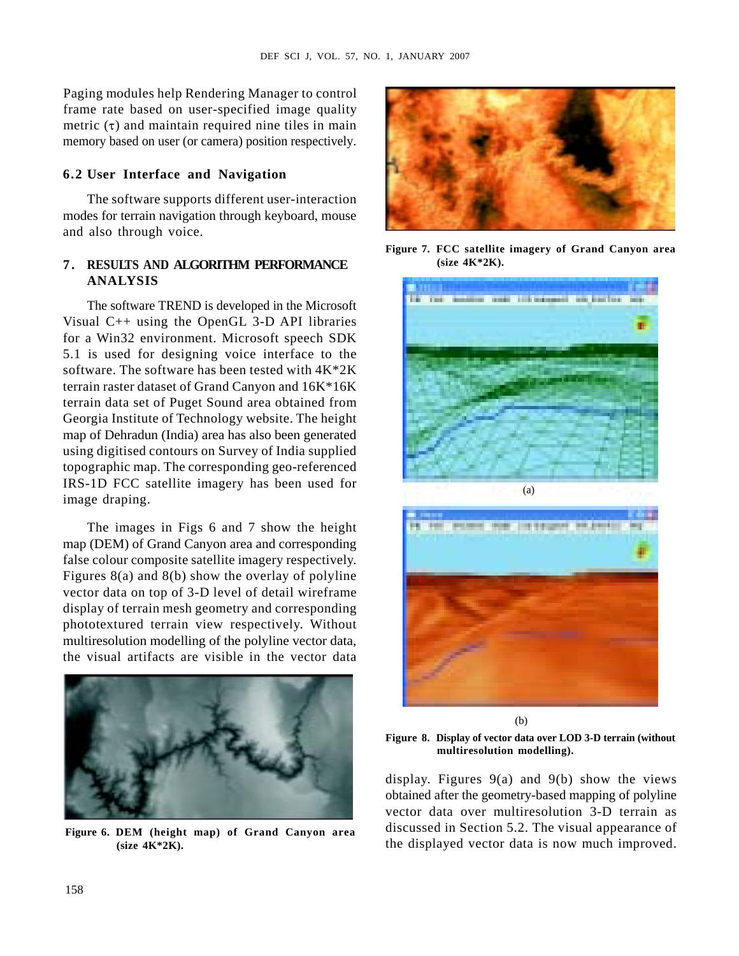Paging modules help Rendering Manager to control frame rate based on user-specified image quality metric  $(\tau)$  and maintain required nine tiles in main memory based on user (or camera) position respectively.

The software supports different user-interaction modes for terrain navigation through keyboard, mouse and also through voice.

Visual C++ using the OpenGL 3-D API libraries for a Win32 environment. Microsoft speech SDK 5.1 is used for designing voice interface to the software. The software has been tested with 4K\*2K terrain raster dataset of Grand Canyon and 16K\*16K terrain data set of Puget Sound area obtained from Georgia Institute of Technology website. The height map of Dehradun (India) area has also been generated using digitised contours on Survey of India supplied topographic map. The corresponding geo-referenced IRS-1D FCC satellite imagery has been used for image draping.

The images in Figs 6 and 7 show the height map (DEM) of Grand Canyon area and corresponding false colour composite satellite imagery respectively. Figures 8(a) and 8(b) show the overlay of polyline vector data on top of 3-D level of detail wireframe display of terrain mesh geometry and corresponding phototextured terrain view respectively. Without multiresolution modelling of the polyline vector data, the visual artifacts are visible in the vector data





**(size 4K\*2K).**



(b)

**Figure 8. Display of vector data over LOD 3-D terrain (without multiresolution modelling).**

**(size 4K\*2K).** the displayed vector data is now much improved. display. Figures 9(a) and 9(b) show the views obtained after the geometry-based mapping of polyline vector data over multiresolution 3-D terrain as discussed in Section 5.2. The visual appearance of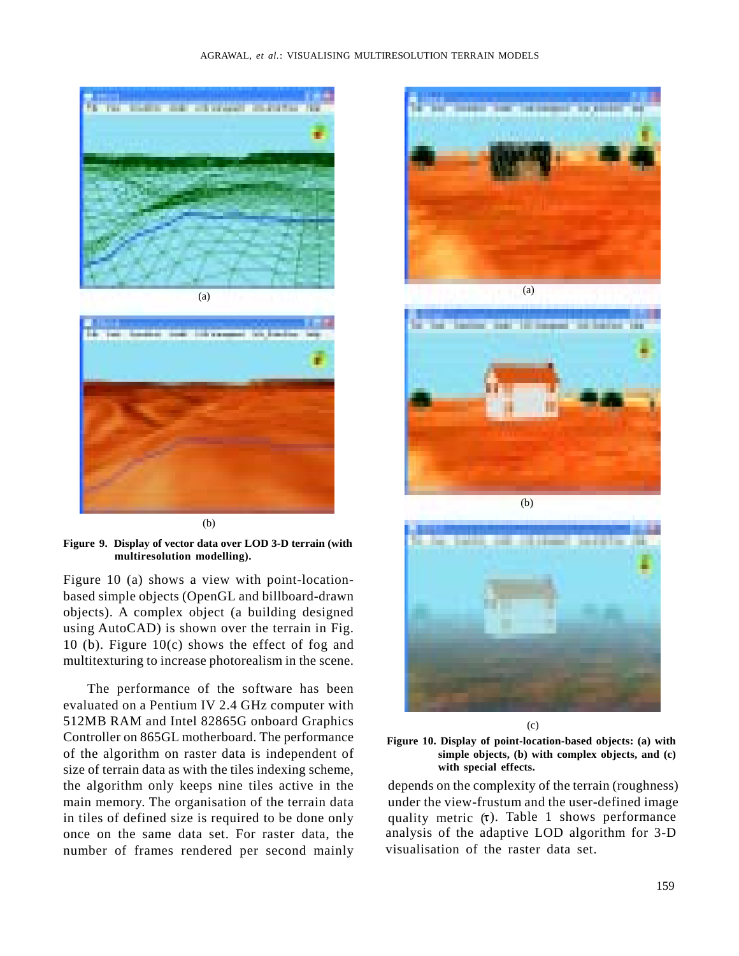

**Figure 9. Display of vector data over LOD 3-D terrain (with multiresolution modelling).**

Figure 10 (a) shows a view with point-locationbased simple objects (OpenGL and billboard-drawn objects). A complex object (a building designed using AutoCAD) is shown over the terrain in Fig. 10 (b). Figure 10(c) shows the effect of fog and multitexturing to increase photorealism in the scene.

The performance of the software has been evaluated on a Pentium IV 2.4 GHz computer with 512MB RAM and Intel 82865G onboard Graphics Controller on 865GL motherboard. The performance of the algorithm on raster data is independent of size of terrain data as with the tiles indexing scheme, main memory. The organisation of the terrain data in tiles of defined size is required to be done only number of frames rendered per second mainly













the algorithm only keeps nine tiles active in the depends on the complexity of the terrain (roughness) once on the same data set. For raster data, the analysis of the adaptive LOD algorithm for 3-D under the view-frustum and the user-defined image quality metric  $(\tau)$ . Table 1 shows performance visualisation of the raster data set.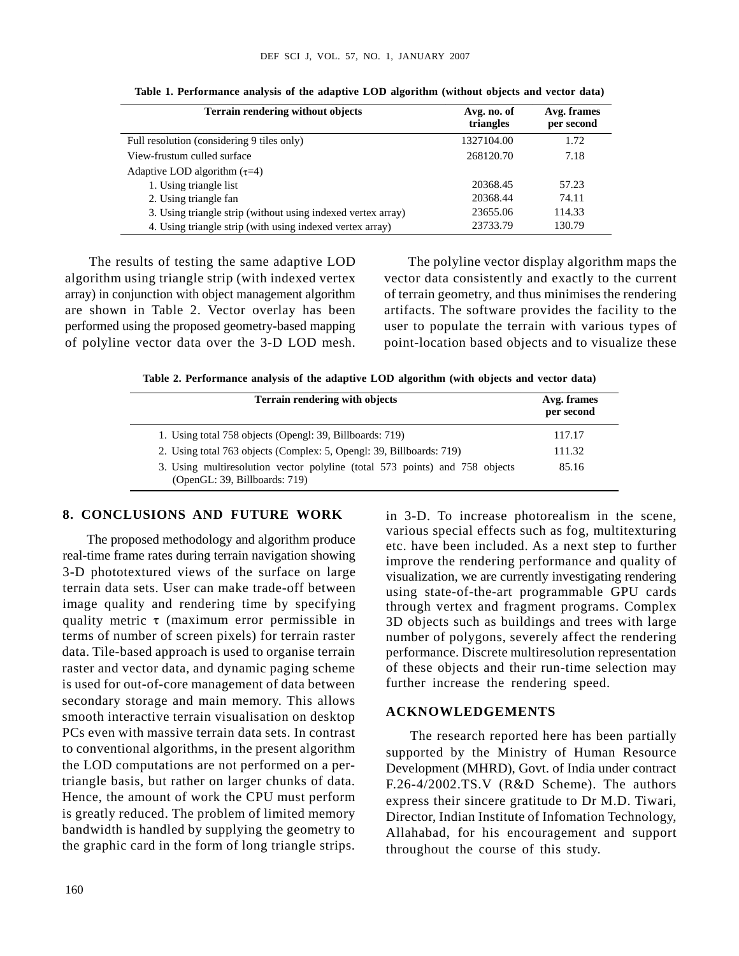| Terrain rendering without objects                            | Avg. no. of | Avg. frames |
|--------------------------------------------------------------|-------------|-------------|
|                                                              | triangles   | per second  |
| Full resolution (considering 9 tiles only)                   | 1327104.00  | 1.72        |
| View-frustum culled surface                                  | 268120.70   | 7.18        |
| Adaptive LOD algorithm $(\tau=4)$                            |             |             |
| 1. Using triangle list                                       | 20368.45    | 57.23       |
| 2. Using triangle fan                                        | 20368.44    | 74.11       |
| 3. Using triangle strip (without using indexed vertex array) | 23655.06    | 114.33      |
| 4. Using triangle strip (with using indexed vertex array)    | 23733.7     | 130.79      |

**Table 1. Performance analysis of the adaptive LOD algorithm (without objects and vector data)**

of polyline vector data over the 3-D LOD mesh.

The results of testing the same adaptive LOD The polyline vector display algorithm maps the algorithm using triangle strip (with indexed vertex vector data consistently and exactly to the current array) in conjunction with object management algorithm of terrain geometry, and thus minimises the rendering are shown in Table 2. Vector overlay has been artifacts. The software provides the facility to the performed using the proposed geometry-based mapping user to populate the terrain with various types of point-location based objects and to visualize these

**Table 2. Performance analysis of the adaptive LOD algorithm (with objects and vector data)**

| Terrain rendering with objects                                                                               | Avg. frames<br>per second |
|--------------------------------------------------------------------------------------------------------------|---------------------------|
| 1. Using total 758 objects (Opengl: 39, Billboards: 719)                                                     | 117.17                    |
| 2. Using total 763 objects (Complex: 5, Opengl: 39, Billboards: 719)                                         | 111.32                    |
| 3. Using multiresolution vector polyline (total 573 points) and 758 objects<br>(OpenGL: 39, Billboards: 719) | 85.16                     |

### **8. CONCLUSIONS AND FUTURE WORK** in 3-D. To increase photorealism in the scene,

terrain data sets. User can make trade-off between using state-of-the-art programmable GPU cards image quality and rendering time by specifying through vertex and fragment programs. Complex quality metric  $\tau$  (maximum error permissible in  $\sigma$  3D objects such as buildings and trees with large terms of number of screen pixels) for terrain raster humber of polygons, severely affect the rendering raster and vector data, and dynamic paging scheme of these objects and their run-time selection may The proposed methodology and algorithm produce real-time frame rates during terrain navigation showing 3-D phototextured views of the surface on large data. Tile-based approach is used to organise terrain is used for out-of-core management of data between secondary storage and main memory. This allows<br>expected interesting tension simulation are dedicated ACKNOWLEDGEMENTS smooth interactive terrain visualisation on desktop PCs even with massive terrain data sets. In contrast to conventional algorithms, in the present algorithm the LOD computations are not performed on a pertriangle basis, but rather on larger chunks of data. Hence, the amount of work the CPU must perform is greatly reduced. The problem of limited memory bandwidth is handled by supplying the geometry to the graphic card in the form of long triangle strips.

various special effects such as fog, multitexturing etc. have been included. As a next step to further improve the rendering performance and quality of visualization, we are currently investigating rendering performance. Discrete multiresolution representation further increase the rendering speed.

### **ACKNOWLEDGEMENTS**

The research reported here has been partially supported by the Ministry of Human Resource Development (MHRD), Govt. of India under contract F.26-4/2002.TS.V (R&D Scheme). The authors express their sincere gratitude to Dr M.D. Tiwari, Director, Indian Institute of Infomation Technology, Allahabad, for his encouragement and support throughout the course of this study.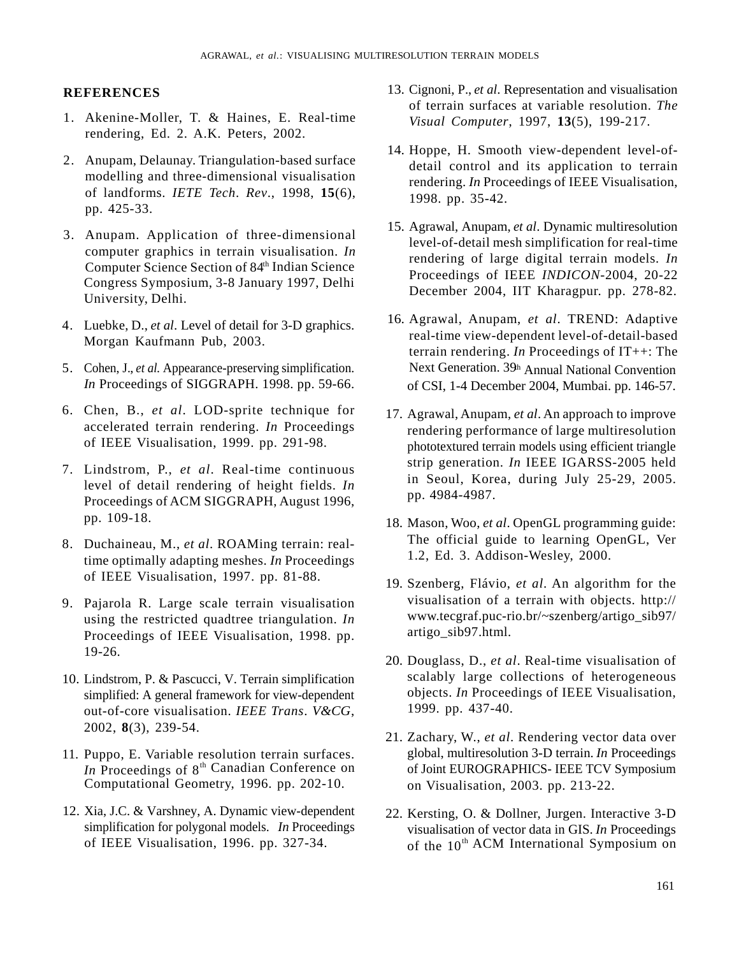- rendering, Ed. 2. A.K. Peters, 2002.
- modelling and three-dimensional visualisation of landforms. *IETE Tech*. *Rev*., 1998, **15**(6), pp. 425-33.
- computer graphics in terrain visualisation. *In* Computer Science Section of 84th Indian Science Congress Symposium, 3-8 January 1997, Delhi University, Delhi.
- Morgan Kaufmann Pub, 2003.
- 5. Cohen, J., *et al*. Appearance-preserving simplification.
- accelerated terrain rendering. *In* Proceedings of IEEE Visualisation, 1999. pp. 291-98.
- level of detail rendering of height fields. *In* Proceedings of ACM SIGGRAPH, August 1996,
- time optimally adapting meshes. *In* Proceedings of IEEE Visualisation, 1997. pp. 81-88.
- using the restricted quadtree triangulation. *In* Proceedings of IEEE Visualisation, 1998. pp.
- 10. Lindstrom, P. & Pascucci, V. Terrain simplification simplified: A general framework for view-dependent out-of-core visualisation. *IEEE Trans*. *V&CG*, 2002, **8**(3), 239-54.
- 11. Puppo, E. Variable resolution terrain surfaces. *In* Proceedings of  $8<sup>th</sup>$  Canadian Conference on Computational Geometry, 1996. pp. 202-10.
- 12. Xia, J.C. & Varshney, A. Dynamic view-dependent
- **REFERENCES** 13. Cignoni, P., *et al*. Representation and visualisation of terrain surfaces at variable resolution. *The Visual Computer*, 1997, **13**(5), 199-217.
	- 14. Hoppe, H. Smooth view-dependent level-ofdetail control and its application to terrain rendering. *In* Proceedings of IEEE Visualisation, 1998. pp. 35-42.
	- 15. Agrawal, Anupam, *et al*. Dynamic multiresolution level-of-detail mesh simplification for real-time rendering of large digital terrain models. *In* Proceedings of IEEE *INDICON*-2004, 20-22 December 2004, IIT Kharagpur. pp. 278-82.
	- *In* Proceedings of SIGGRAPH. 1998. pp. 59-66. of CSI, 1-4 December 2004, Mumbai. pp. 146-57. 16. Agrawal, Anupam, *et al*. TREND: Adaptive real-time view-dependent level-of-detail-based terrain rendering. *In* Proceedings of IT++: The Next Generation. 39<sup>th</sup> Annual National Convention
- 1. Akenine-Moller, T. & Haines, E. Real-time **EXERENCES**<br>
2. Antenna en activation de la Committee anti-sin and Representation and Vendels resultation-<br>
2. A Linder Marin Committee and Committee and Committee and Committee and Committee and Committee and Committee a **EXERENCES**<br> **EXERENCES**<br> **EXERENCES**<br> **EXERENCES**<br> **EXERENCES**<br> **EXERENCES**<br> **EXERENCES**<br> **EXERENCES**<br> **EXERENCES**<br> **EXERENCES**<br> **EXERENCES**<br> **EXERENCES**<br> **EXERENCES**<br> **EXERENCES**<br> **EXERENCES**<br> **EXERENCES**<br> **EXERENCES**<br> **EXERENCES**<br> **EXERENCES**<br> **EXERENCES**<br> **EXERENCES**<br> **EXERENCES**<br> **EXERENCES**<br> **EXERENCES**<br> **EXERENCES**<br> **EXERENCES**<br> **EXERENCES**<br> **EXERENCES**<br> **EXERENCES**<br> **EXERENCES**<br> **EXERENCES**<br> **EXERENCES**<br> **EXERENCES**<br> **EXERENCES**<br> **ACTERENCES**<br> **EXERENCES**<br> **EXERENCES**<br> **EXERCISE TRANSITE AND ACTES AND ACTES AND ACTES AND ACTES AND ACTES AND ACTES AND ACTES AND ACTES AND ACTES AND ACTES AND ACTES AND ACTES AND ACTES AND ACTES AND ACTES AND ACTES AN ARTERENCES**<br>
2. Channel Continuous Accordination and visualization and visualization and visualization in Altime Continuous Continuous Continuous Continuous Continuous Continuous Continuous Continuous Accordination in th 8. Duchaineau, M., *et al*. ROAMing terrain: real-ACTERENCES<br>
2. Channel Control (1998) (1998) (1998) (1998) (1998) (1998) (1998) (1998) (1998) (1998) (1998) (1998) (1998) (1998) (1998) (1998) (1998) (1998) (1998) (1998) (1998) (1998) (1998) (1998) (1998) (1998) (1998) ( 17. Agrawal, Anupam, *et al*. An approach to improve rendering performance of large multiresolution phototextured terrain models using efficient triangle strip generation. *In* IEEE IGARSS-2005 held in Seoul, Korea, during July 25-29, 2005. pp. 4984-4987.
	- pp. 109-18. 18. Mason, Woo, *et al*. OpenGL programming guide: The official guide to learning OpenGL, Ver 1.2, Ed. 3. Addison-Wesley, 2000.
		- 19. Szenberg, Flávio, *et al*. An algorithm for the visualisation of a terrain with objects. http:// www.tecgraf.puc-rio.br/~szenberg/artigo\_sib97/ artigo\_sib97.html.
	- 19-26. 20. Douglass, D., *et al*. Real-time visualisation of scalably large collections of heterogeneous objects. *In* Proceedings of IEEE Visualisation, 1999. pp. 437-40.
		- 21. Zachary, W., *et al*. Rendering vector data over global, multiresolution 3-D terrain. *In* Proceedings of Joint EUROGRAPHICS- IEEE TCV Symposium on Visualisation, 2003. pp. 213-22.
	- simplification for polygonal models. *In* Proceedings visualisation of vector data in GIS. *In* Proceedings of IEEE Visualisation, 1996. pp. 327-34.  $\qquad \qquad$  of the 10<sup>th</sup> ACM International Symposium on 22. Kersting, O. & Dollner, Jurgen. Interactive 3-D